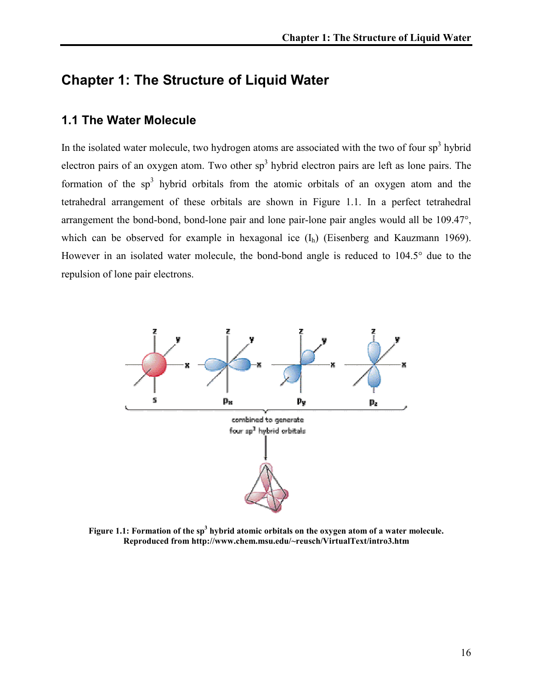# Chapter 1: The Structure of Liquid Water

#### 1.1 The Water Molecule

In the isolated water molecule, two hydrogen atoms are associated with the two of four  $sp<sup>3</sup>$  hybrid electron pairs of an oxygen atom. Two other  $sp<sup>3</sup>$  hybrid electron pairs are left as lone pairs. The formation of the  $sp<sup>3</sup>$  hybrid orbitals from the atomic orbitals of an oxygen atom and the tetrahedral arrangement of these orbitals are shown in Figure 1.1. In a perfect tetrahedral arrangement the bond-bond, bond-lone pair and lone pair-lone pair angles would all be 109.47°, which can be observed for example in hexagonal ice  $(I_h)$  (Eisenberg and Kauzmann 1969). However in an isolated water molecule, the bond-bond angle is reduced to 104.5° due to the repulsion of lone pair electrons.



Figure 1.1: Formation of the  $sp^3$  hybrid atomic orbitals on the oxygen atom of a water molecule. Reproduced from http://www.chem.msu.edu/~reusch/VirtualText/intro3.htm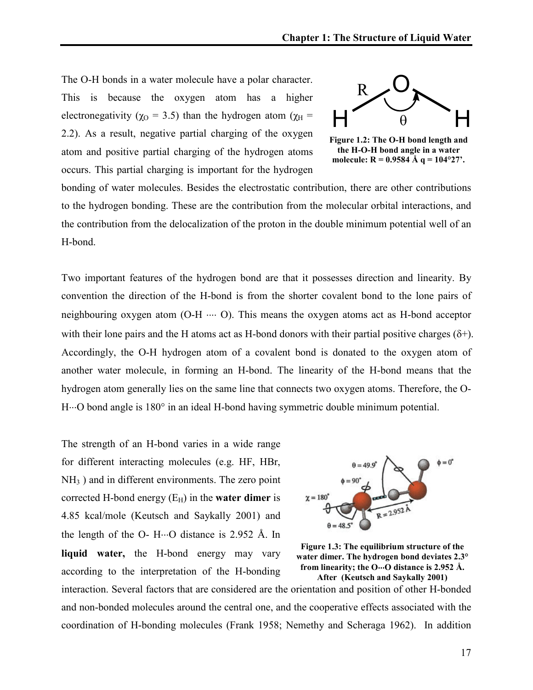The O-H bonds in a water molecule have a polar character. This is because the oxygen atom has a higher electronegativity ( $\chi$ <sup>O</sup> = 3.5) than the hydrogen atom ( $\chi$ <sup>H</sup> = 2.2). As a result, negative partial charging of the oxygen atom and positive partial charging of the hydrogen atoms occurs. This partial charging is important for the hydrogen



Figure 1.2: The O-H bond length and the H-O-H bond angle in a water molecule:  $R = 0.9584 \text{ Å}$  q = 104°27'.

bonding of water molecules. Besides the electrostatic contribution, there are other contributions to the hydrogen bonding. These are the contribution from the molecular orbital interactions, and the contribution from the delocalization of the proton in the double minimum potential well of an H-bond.

Two important features of the hydrogen bond are that it possesses direction and linearity. By convention the direction of the H-bond is from the shorter covalent bond to the lone pairs of neighbouring oxygen atom (O-H ⋅⋅⋅⋅ O). This means the oxygen atoms act as H-bond acceptor with their lone pairs and the H atoms act as H-bond donors with their partial positive charges  $(\delta^+)$ . Accordingly, the O-H hydrogen atom of a covalent bond is donated to the oxygen atom of another water molecule, in forming an H-bond. The linearity of the H-bond means that the hydrogen atom generally lies on the same line that connects two oxygen atoms. Therefore, the O-H⋅⋅⋅O bond angle is 180° in an ideal H-bond having symmetric double minimum potential.

The strength of an H-bond varies in a wide range for different interacting molecules (e.g. HF, HBr, NH3 ) and in different environments. The zero point corrected H-bond energy  $(E_H)$  in the **water dimer** is 4.85 kcal/mole (Keutsch and Saykally 2001) and the length of the O- H $\cdot\cdot\cdot$ O distance is 2.952 Å. In liquid water, the H-bond energy may vary according to the interpretation of the H-bonding





interaction. Several factors that are considered are the orientation and position of other H-bonded and non-bonded molecules around the central one, and the cooperative effects associated with the coordination of H-bonding molecules (Frank 1958; Nemethy and Scheraga 1962). In addition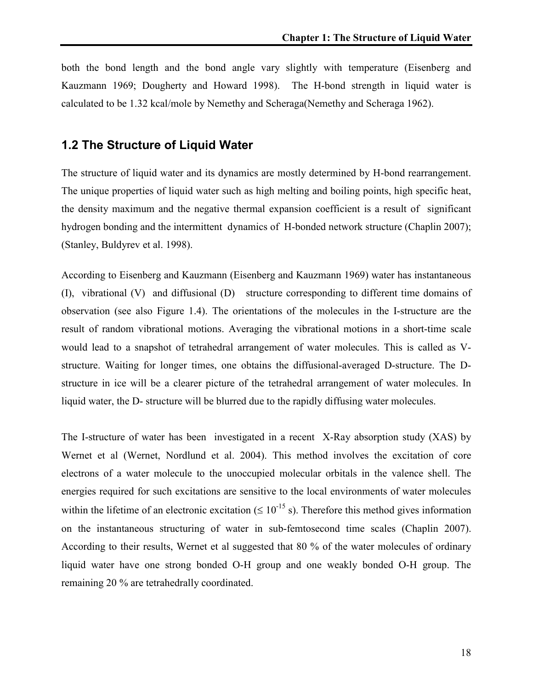both the bond length and the bond angle vary slightly with temperature (Eisenberg and Kauzmann 1969; Dougherty and Howard 1998). The H-bond strength in liquid water is calculated to be 1.32 kcal/mole by Nemethy and Scheraga(Nemethy and Scheraga 1962).

## 1.2 The Structure of Liquid Water

The structure of liquid water and its dynamics are mostly determined by H-bond rearrangement. The unique properties of liquid water such as high melting and boiling points, high specific heat, the density maximum and the negative thermal expansion coefficient is a result of significant hydrogen bonding and the intermittent dynamics of H-bonded network structure (Chaplin 2007); (Stanley, Buldyrev et al. 1998).

According to Eisenberg and Kauzmann (Eisenberg and Kauzmann 1969) water has instantaneous (I), vibrational (V) and diffusional (D) structure corresponding to different time domains of observation (see also Figure 1.4). The orientations of the molecules in the I-structure are the result of random vibrational motions. Averaging the vibrational motions in a short-time scale would lead to a snapshot of tetrahedral arrangement of water molecules. This is called as Vstructure. Waiting for longer times, one obtains the diffusional-averaged D-structure. The Dstructure in ice will be a clearer picture of the tetrahedral arrangement of water molecules. In liquid water, the D- structure will be blurred due to the rapidly diffusing water molecules.

The I-structure of water has been investigated in a recent X-Ray absorption study (XAS) by Wernet et al (Wernet, Nordlund et al. 2004). This method involves the excitation of core electrons of a water molecule to the unoccupied molecular orbitals in the valence shell. The energies required for such excitations are sensitive to the local environments of water molecules within the lifetime of an electronic excitation ( $\leq 10^{-15}$  s). Therefore this method gives information on the instantaneous structuring of water in sub-femtosecond time scales (Chaplin 2007). According to their results, Wernet et al suggested that 80 % of the water molecules of ordinary liquid water have one strong bonded O-H group and one weakly bonded O-H group. The remaining 20 % are tetrahedrally coordinated.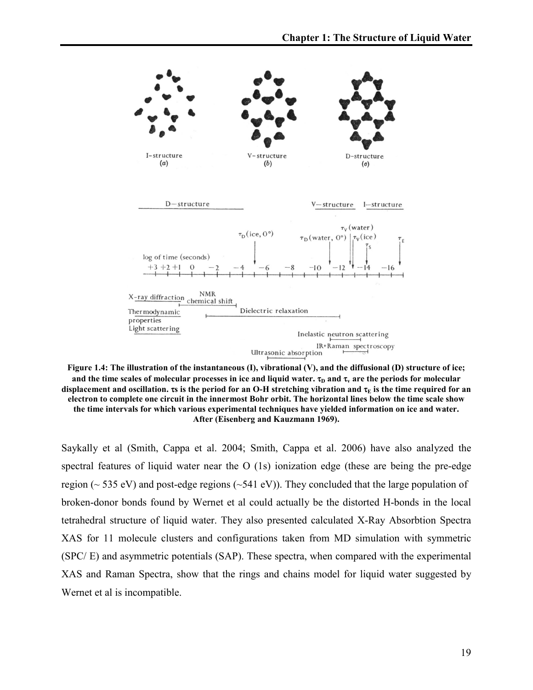

Figure 1.4: The illustration of the instantaneous (I), vibrational (V), and the diffusional (D) structure of ice; and the time scales of molecular processes in ice and liquid water.  $\tau_{\rm D}$  and  $\tau_{\rm v}$  are the periods for molecular displacement and oscillation.  $\tau s$  is the period for an O-H stretching vibration and  $\tau_E$  is the time required for an electron to complete one circuit in the innermost Bohr orbit. The horizontal lines below the time scale show the time intervals for which various experimental techniques have yielded information on ice and water. After (Eisenberg and Kauzmann 1969).

Saykally et al (Smith, Cappa et al. 2004; Smith, Cappa et al. 2006) have also analyzed the spectral features of liquid water near the O (1s) ionization edge (these are being the pre-edge region ( $\sim$  535 eV) and post-edge regions ( $\sim$  541 eV)). They concluded that the large population of broken-donor bonds found by Wernet et al could actually be the distorted H-bonds in the local tetrahedral structure of liquid water. They also presented calculated X-Ray Absorbtion Spectra XAS for 11 molecule clusters and configurations taken from MD simulation with symmetric (SPC/ E) and asymmetric potentials (SAP). These spectra, when compared with the experimental XAS and Raman Spectra, show that the rings and chains model for liquid water suggested by Wernet et al is incompatible.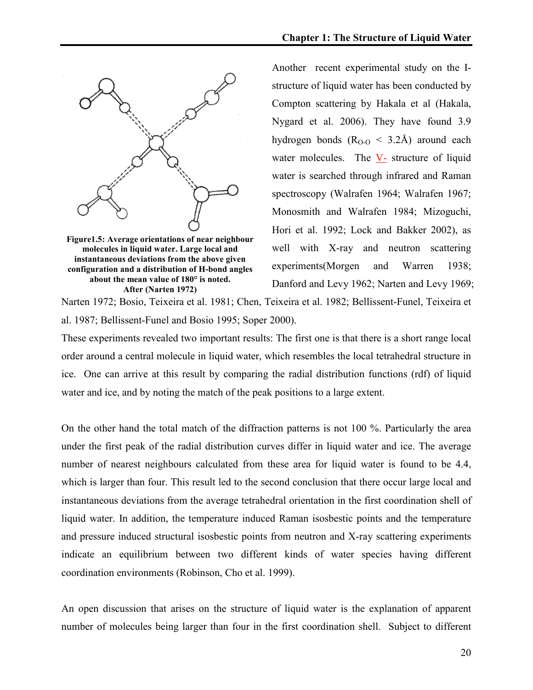

Figure1.5: Average orientations of near neighbour molecules in liquid water. Large local and instantaneous deviations from the above given configuration and a distribution of H-bond angles about the mean value of 180° is noted. After (Narten 1972)

Another recent experimental study on the Istructure of liquid water has been conducted by Compton scattering by Hakala et al (Hakala, Nygard et al. 2006). They have found 3.9 hydrogen bonds  $(R<sub>O-O</sub> < 3.2$ Å) around each water molecules. The  $V$ - structure of liquid water is searched through infrared and Raman spectroscopy (Walrafen 1964; Walrafen 1967; Monosmith and Walrafen 1984; Mizoguchi, Hori et al. 1992; Lock and Bakker 2002), as well with X-ray and neutron scattering experiments(Morgen and Warren 1938; Danford and Levy 1962; Narten and Levy 1969;

Narten 1972; Bosio, Teixeira et al. 1981; Chen, Teixeira et al. 1982; Bellissent-Funel, Teixeira et al. 1987; Bellissent-Funel and Bosio 1995; Soper 2000).

These experiments revealed two important results: The first one is that there is a short range local order around a central molecule in liquid water, which resembles the local tetrahedral structure in ice. One can arrive at this result by comparing the radial distribution functions (rdf) of liquid water and ice, and by noting the match of the peak positions to a large extent.

On the other hand the total match of the diffraction patterns is not 100 %. Particularly the area under the first peak of the radial distribution curves differ in liquid water and ice. The average number of nearest neighbours calculated from these area for liquid water is found to be 4.4, which is larger than four. This result led to the second conclusion that there occur large local and instantaneous deviations from the average tetrahedral orientation in the first coordination shell of liquid water. In addition, the temperature induced Raman isosbestic points and the temperature and pressure induced structural isosbestic points from neutron and X-ray scattering experiments indicate an equilibrium between two different kinds of water species having different coordination environments (Robinson, Cho et al. 1999).

An open discussion that arises on the structure of liquid water is the explanation of apparent number of molecules being larger than four in the first coordination shell. Subject to different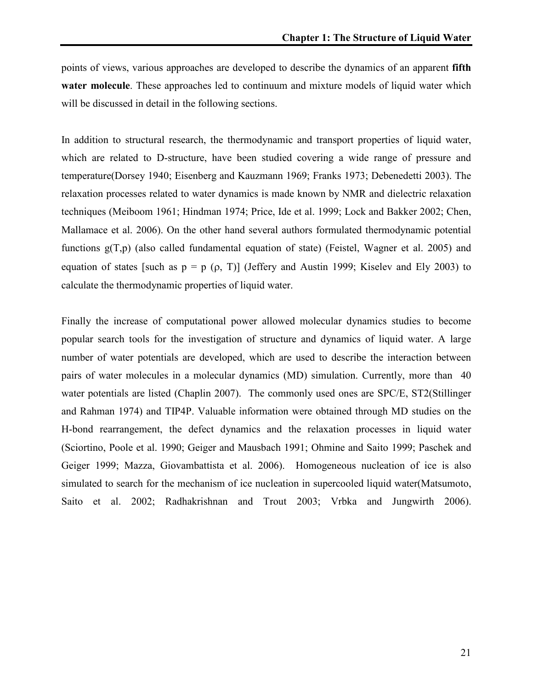points of views, various approaches are developed to describe the dynamics of an apparent fifth water molecule. These approaches led to continuum and mixture models of liquid water which will be discussed in detail in the following sections.

In addition to structural research, the thermodynamic and transport properties of liquid water, which are related to D-structure, have been studied covering a wide range of pressure and temperature(Dorsey 1940; Eisenberg and Kauzmann 1969; Franks 1973; Debenedetti 2003). The relaxation processes related to water dynamics is made known by NMR and dielectric relaxation techniques (Meiboom 1961; Hindman 1974; Price, Ide et al. 1999; Lock and Bakker 2002; Chen, Mallamace et al. 2006). On the other hand several authors formulated thermodynamic potential functions g(T,p) (also called fundamental equation of state) (Feistel, Wagner et al. 2005) and equation of states [such as  $p = p$  ( $p$ , T)] (Jeffery and Austin 1999; Kiseley and Ely 2003) to calculate the thermodynamic properties of liquid water.

Finally the increase of computational power allowed molecular dynamics studies to become popular search tools for the investigation of structure and dynamics of liquid water. A large number of water potentials are developed, which are used to describe the interaction between pairs of water molecules in a molecular dynamics (MD) simulation. Currently, more than 40 water potentials are listed (Chaplin 2007). The commonly used ones are SPC/E, ST2(Stillinger and Rahman 1974) and TIP4P. Valuable information were obtained through MD studies on the H-bond rearrangement, the defect dynamics and the relaxation processes in liquid water (Sciortino, Poole et al. 1990; Geiger and Mausbach 1991; Ohmine and Saito 1999; Paschek and Geiger 1999; Mazza, Giovambattista et al. 2006). Homogeneous nucleation of ice is also simulated to search for the mechanism of ice nucleation in supercooled liquid water(Matsumoto, Saito et al. 2002; Radhakrishnan and Trout 2003; Vrbka and Jungwirth 2006).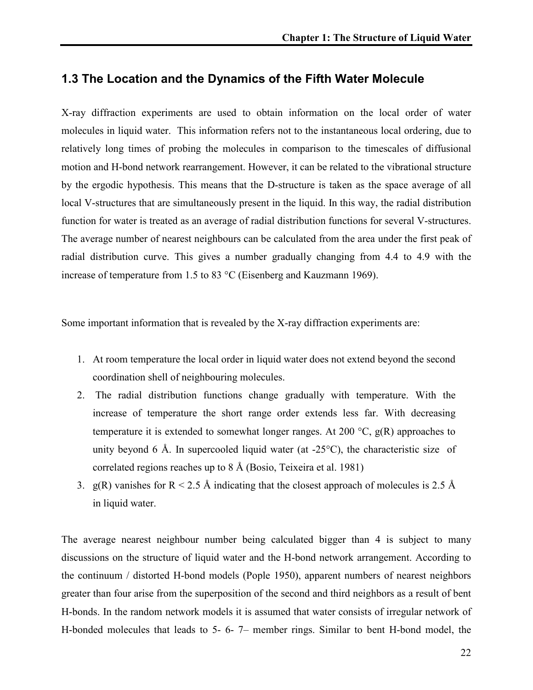### 1.3 The Location and the Dynamics of the Fifth Water Molecule

X-ray diffraction experiments are used to obtain information on the local order of water molecules in liquid water. This information refers not to the instantaneous local ordering, due to relatively long times of probing the molecules in comparison to the timescales of diffusional motion and H-bond network rearrangement. However, it can be related to the vibrational structure by the ergodic hypothesis. This means that the D-structure is taken as the space average of all local V-structures that are simultaneously present in the liquid. In this way, the radial distribution function for water is treated as an average of radial distribution functions for several V-structures. The average number of nearest neighbours can be calculated from the area under the first peak of radial distribution curve. This gives a number gradually changing from 4.4 to 4.9 with the increase of temperature from 1.5 to 83 °C (Eisenberg and Kauzmann 1969).

Some important information that is revealed by the X-ray diffraction experiments are:

- 1. At room temperature the local order in liquid water does not extend beyond the second coordination shell of neighbouring molecules.
- 2. The radial distribution functions change gradually with temperature. With the increase of temperature the short range order extends less far. With decreasing temperature it is extended to somewhat longer ranges. At 200  $^{\circ}C$ ,  $g(R)$  approaches to unity beyond 6 Å. In supercooled liquid water (at  $-25^{\circ}$ C), the characteristic size of correlated regions reaches up to 8 Å (Bosio, Teixeira et al. 1981)
- 3. g(R) vanishes for  $R < 2.5$  Å indicating that the closest approach of molecules is 2.5 Å in liquid water.

The average nearest neighbour number being calculated bigger than 4 is subject to many discussions on the structure of liquid water and the H-bond network arrangement. According to the continuum / distorted H-bond models (Pople 1950), apparent numbers of nearest neighbors greater than four arise from the superposition of the second and third neighbors as a result of bent H-bonds. In the random network models it is assumed that water consists of irregular network of H-bonded molecules that leads to 5- 6- 7– member rings. Similar to bent H-bond model, the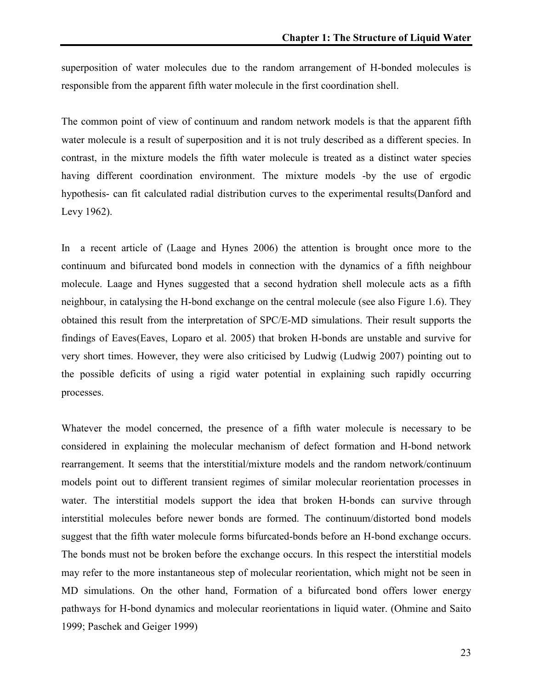superposition of water molecules due to the random arrangement of H-bonded molecules is responsible from the apparent fifth water molecule in the first coordination shell.

The common point of view of continuum and random network models is that the apparent fifth water molecule is a result of superposition and it is not truly described as a different species. In contrast, in the mixture models the fifth water molecule is treated as a distinct water species having different coordination environment. The mixture models -by the use of ergodic hypothesis- can fit calculated radial distribution curves to the experimental results(Danford and Levy 1962).

In a recent article of (Laage and Hynes 2006) the attention is brought once more to the continuum and bifurcated bond models in connection with the dynamics of a fifth neighbour molecule. Laage and Hynes suggested that a second hydration shell molecule acts as a fifth neighbour, in catalysing the H-bond exchange on the central molecule (see also Figure 1.6). They obtained this result from the interpretation of SPC/E-MD simulations. Their result supports the findings of Eaves(Eaves, Loparo et al. 2005) that broken H-bonds are unstable and survive for very short times. However, they were also criticised by Ludwig (Ludwig 2007) pointing out to the possible deficits of using a rigid water potential in explaining such rapidly occurring processes.

Whatever the model concerned, the presence of a fifth water molecule is necessary to be considered in explaining the molecular mechanism of defect formation and H-bond network rearrangement. It seems that the interstitial/mixture models and the random network/continuum models point out to different transient regimes of similar molecular reorientation processes in water. The interstitial models support the idea that broken H-bonds can survive through interstitial molecules before newer bonds are formed. The continuum/distorted bond models suggest that the fifth water molecule forms bifurcated-bonds before an H-bond exchange occurs. The bonds must not be broken before the exchange occurs. In this respect the interstitial models may refer to the more instantaneous step of molecular reorientation, which might not be seen in MD simulations. On the other hand, Formation of a bifurcated bond offers lower energy pathways for H-bond dynamics and molecular reorientations in liquid water. (Ohmine and Saito 1999; Paschek and Geiger 1999)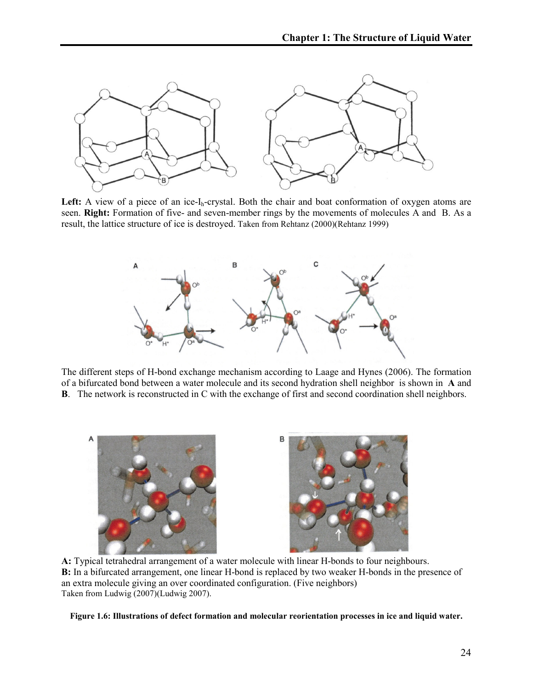

Left: A view of a piece of an ice-I<sub>h</sub>-crystal. Both the chair and boat conformation of oxygen atoms are seen. Right: Formation of five- and seven-member rings by the movements of molecules A and B. As a result, the lattice structure of ice is destroyed. Taken from Rehtanz (2000)(Rehtanz 1999)



The different steps of H-bond exchange mechanism according to Laage and Hynes (2006). The formation of a bifurcated bond between a water molecule and its second hydration shell neighbor is shown in A and B. The network is reconstructed in C with the exchange of first and second coordination shell neighbors.



A: Typical tetrahedral arrangement of a water molecule with linear H-bonds to four neighbours. B: In a bifurcated arrangement, one linear H-bond is replaced by two weaker H-bonds in the presence of an extra molecule giving an over coordinated configuration. (Five neighbors) Taken from Ludwig (2007)(Ludwig 2007).

Figure 1.6: Illustrations of defect formation and molecular reorientation processes in ice and liquid water.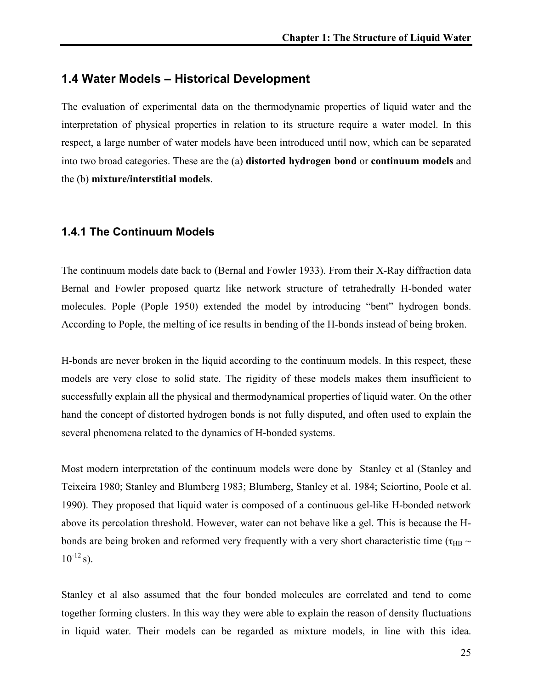### 1.4 Water Models – Historical Development

The evaluation of experimental data on the thermodynamic properties of liquid water and the interpretation of physical properties in relation to its structure require a water model. In this respect, a large number of water models have been introduced until now, which can be separated into two broad categories. These are the (a) distorted hydrogen bond or continuum models and the (b) mixture/interstitial models.

#### 1.4.1 The Continuum Models

The continuum models date back to (Bernal and Fowler 1933). From their X-Ray diffraction data Bernal and Fowler proposed quartz like network structure of tetrahedrally H-bonded water molecules. Pople (Pople 1950) extended the model by introducing "bent" hydrogen bonds. According to Pople, the melting of ice results in bending of the H-bonds instead of being broken.

H-bonds are never broken in the liquid according to the continuum models. In this respect, these models are very close to solid state. The rigidity of these models makes them insufficient to successfully explain all the physical and thermodynamical properties of liquid water. On the other hand the concept of distorted hydrogen bonds is not fully disputed, and often used to explain the several phenomena related to the dynamics of H-bonded systems.

Most modern interpretation of the continuum models were done by Stanley et al (Stanley and Teixeira 1980; Stanley and Blumberg 1983; Blumberg, Stanley et al. 1984; Sciortino, Poole et al. 1990). They proposed that liquid water is composed of a continuous gel-like H-bonded network above its percolation threshold. However, water can not behave like a gel. This is because the Hbonds are being broken and reformed very frequently with a very short characteristic time ( $\tau_{HB} \sim$  $10^{-12}$  s).

Stanley et al also assumed that the four bonded molecules are correlated and tend to come together forming clusters. In this way they were able to explain the reason of density fluctuations in liquid water. Their models can be regarded as mixture models, in line with this idea.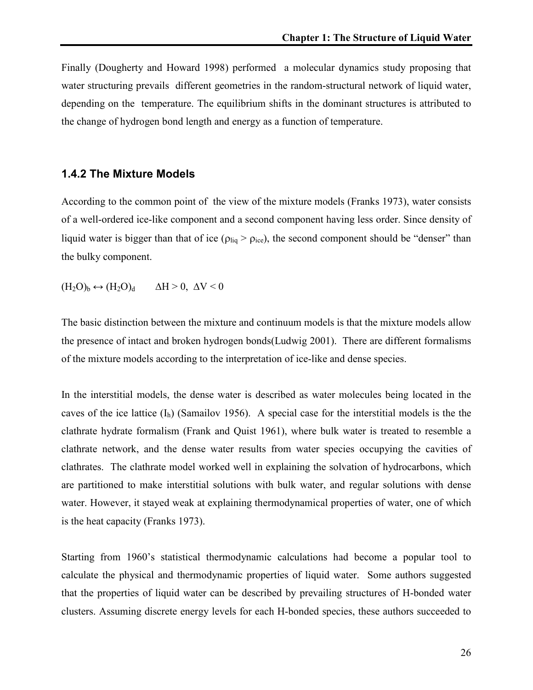Finally (Dougherty and Howard 1998) performed a molecular dynamics study proposing that water structuring prevails different geometries in the random-structural network of liquid water, depending on the temperature. The equilibrium shifts in the dominant structures is attributed to the change of hydrogen bond length and energy as a function of temperature.

#### 1.4.2 The Mixture Models

According to the common point of the view of the mixture models (Franks 1973), water consists of a well-ordered ice-like component and a second component having less order. Since density of liquid water is bigger than that of ice ( $\rho_{liq} > \rho_{ice}$ ), the second component should be "denser" than the bulky component.

 $(H_2O)_b \leftrightarrow (H_2O)_d \qquad \Delta H > 0, \Delta V < 0$ 

The basic distinction between the mixture and continuum models is that the mixture models allow the presence of intact and broken hydrogen bonds(Ludwig 2001). There are different formalisms of the mixture models according to the interpretation of ice-like and dense species.

In the interstitial models, the dense water is described as water molecules being located in the caves of the ice lattice  $(I_h)$  (Samailov 1956). A special case for the interstitial models is the the clathrate hydrate formalism (Frank and Quist 1961), where bulk water is treated to resemble a clathrate network, and the dense water results from water species occupying the cavities of clathrates. The clathrate model worked well in explaining the solvation of hydrocarbons, which are partitioned to make interstitial solutions with bulk water, and regular solutions with dense water. However, it stayed weak at explaining thermodynamical properties of water, one of which is the heat capacity (Franks 1973).

Starting from 1960's statistical thermodynamic calculations had become a popular tool to calculate the physical and thermodynamic properties of liquid water. Some authors suggested that the properties of liquid water can be described by prevailing structures of H-bonded water clusters. Assuming discrete energy levels for each H-bonded species, these authors succeeded to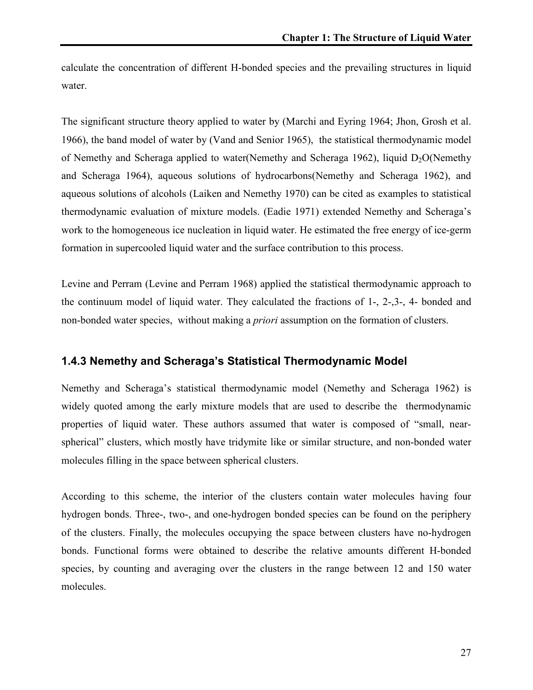calculate the concentration of different H-bonded species and the prevailing structures in liquid water.

The significant structure theory applied to water by (Marchi and Eyring 1964; Jhon, Grosh et al. 1966), the band model of water by (Vand and Senior 1965), the statistical thermodynamic model of Nemethy and Scheraga applied to water(Nemethy and Scheraga 1962), liquid  $D_2O(N$ emethy and Scheraga 1964), aqueous solutions of hydrocarbons(Nemethy and Scheraga 1962), and aqueous solutions of alcohols (Laiken and Nemethy 1970) can be cited as examples to statistical thermodynamic evaluation of mixture models. (Eadie 1971) extended Nemethy and Scheraga's work to the homogeneous ice nucleation in liquid water. He estimated the free energy of ice-germ formation in supercooled liquid water and the surface contribution to this process.

Levine and Perram (Levine and Perram 1968) applied the statistical thermodynamic approach to the continuum model of liquid water. They calculated the fractions of 1-, 2-,3-, 4- bonded and non-bonded water species, without making a priori assumption on the formation of clusters.

#### 1.4.3 Nemethy and Scheraga's Statistical Thermodynamic Model

Nemethy and Scheraga's statistical thermodynamic model (Nemethy and Scheraga 1962) is widely quoted among the early mixture models that are used to describe the thermodynamic properties of liquid water. These authors assumed that water is composed of "small, nearspherical" clusters, which mostly have tridymite like or similar structure, and non-bonded water molecules filling in the space between spherical clusters.

According to this scheme, the interior of the clusters contain water molecules having four hydrogen bonds. Three-, two-, and one-hydrogen bonded species can be found on the periphery of the clusters. Finally, the molecules occupying the space between clusters have no-hydrogen bonds. Functional forms were obtained to describe the relative amounts different H-bonded species, by counting and averaging over the clusters in the range between 12 and 150 water molecules.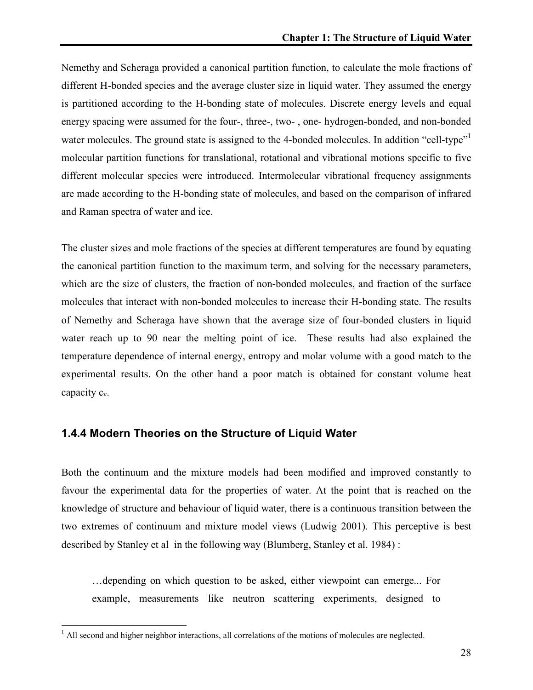Nemethy and Scheraga provided a canonical partition function, to calculate the mole fractions of different H-bonded species and the average cluster size in liquid water. They assumed the energy is partitioned according to the H-bonding state of molecules. Discrete energy levels and equal energy spacing were assumed for the four-, three-, two- , one- hydrogen-bonded, and non-bonded water molecules. The ground state is assigned to the 4-bonded molecules. In addition "cell-type" molecular partition functions for translational, rotational and vibrational motions specific to five different molecular species were introduced. Intermolecular vibrational frequency assignments are made according to the H-bonding state of molecules, and based on the comparison of infrared and Raman spectra of water and ice.

The cluster sizes and mole fractions of the species at different temperatures are found by equating the canonical partition function to the maximum term, and solving for the necessary parameters, which are the size of clusters, the fraction of non-bonded molecules, and fraction of the surface molecules that interact with non-bonded molecules to increase their H-bonding state. The results of Nemethy and Scheraga have shown that the average size of four-bonded clusters in liquid water reach up to 90 near the melting point of ice. These results had also explained the temperature dependence of internal energy, entropy and molar volume with a good match to the experimental results. On the other hand a poor match is obtained for constant volume heat capacity  $c_v$ .

#### 1.4.4 Modern Theories on the Structure of Liquid Water

Both the continuum and the mixture models had been modified and improved constantly to favour the experimental data for the properties of water. At the point that is reached on the knowledge of structure and behaviour of liquid water, there is a continuous transition between the two extremes of continuum and mixture model views (Ludwig 2001). This perceptive is best described by Stanley et al in the following way (Blumberg, Stanley et al. 1984) :

…depending on which question to be asked, either viewpoint can emerge... For example, measurements like neutron scattering experiments, designed to

 $\overline{a}$ 

 $<sup>1</sup>$  All second and higher neighbor interactions, all correlations of the motions of molecules are neglected.</sup>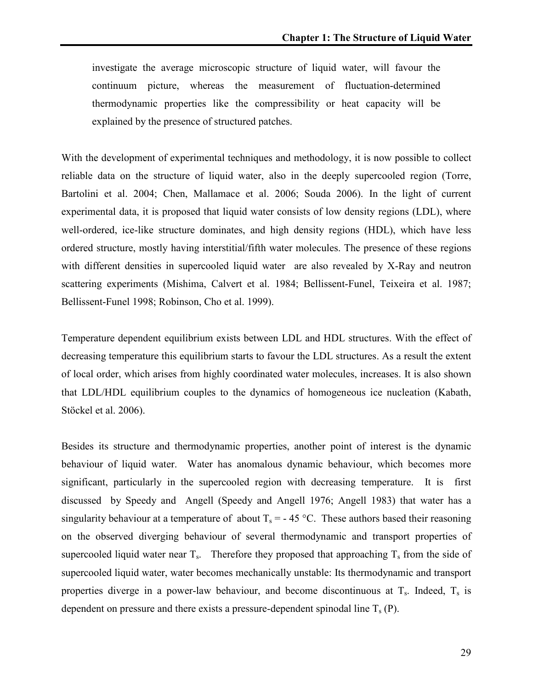investigate the average microscopic structure of liquid water, will favour the continuum picture, whereas the measurement of fluctuation-determined thermodynamic properties like the compressibility or heat capacity will be explained by the presence of structured patches.

With the development of experimental techniques and methodology, it is now possible to collect reliable data on the structure of liquid water, also in the deeply supercooled region (Torre, Bartolini et al. 2004; Chen, Mallamace et al. 2006; Souda 2006). In the light of current experimental data, it is proposed that liquid water consists of low density regions (LDL), where well-ordered, ice-like structure dominates, and high density regions (HDL), which have less ordered structure, mostly having interstitial/fifth water molecules. The presence of these regions with different densities in supercooled liquid water are also revealed by X-Ray and neutron scattering experiments (Mishima, Calvert et al. 1984; Bellissent-Funel, Teixeira et al. 1987; Bellissent-Funel 1998; Robinson, Cho et al. 1999).

Temperature dependent equilibrium exists between LDL and HDL structures. With the effect of decreasing temperature this equilibrium starts to favour the LDL structures. As a result the extent of local order, which arises from highly coordinated water molecules, increases. It is also shown that LDL/HDL equilibrium couples to the dynamics of homogeneous ice nucleation (Kabath, Stöckel et al. 2006).

Besides its structure and thermodynamic properties, another point of interest is the dynamic behaviour of liquid water. Water has anomalous dynamic behaviour, which becomes more significant, particularly in the supercooled region with decreasing temperature. It is first discussed by Speedy and Angell (Speedy and Angell 1976; Angell 1983) that water has a singularity behaviour at a temperature of about  $T_s = -45 \degree C$ . These authors based their reasoning on the observed diverging behaviour of several thermodynamic and transport properties of supercooled liquid water near  $T_s$ . Therefore they proposed that approaching  $T_s$  from the side of supercooled liquid water, water becomes mechanically unstable: Its thermodynamic and transport properties diverge in a power-law behaviour, and become discontinuous at  $T_s$ . Indeed,  $T_s$  is dependent on pressure and there exists a pressure-dependent spinodal line  $T_s$  (P).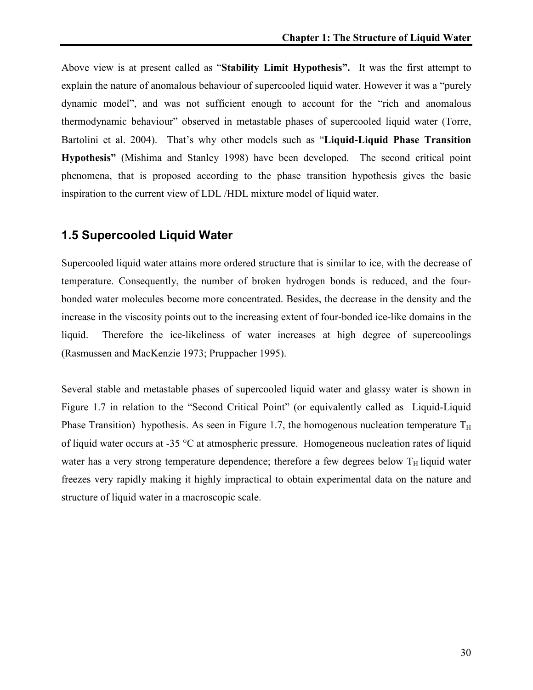Above view is at present called as "Stability Limit Hypothesis". It was the first attempt to explain the nature of anomalous behaviour of supercooled liquid water. However it was a "purely dynamic model", and was not sufficient enough to account for the "rich and anomalous thermodynamic behaviour" observed in metastable phases of supercooled liquid water (Torre, Bartolini et al. 2004). That's why other models such as "Liquid-Liquid Phase Transition Hypothesis" (Mishima and Stanley 1998) have been developed. The second critical point phenomena, that is proposed according to the phase transition hypothesis gives the basic inspiration to the current view of LDL /HDL mixture model of liquid water.

### 1.5 Supercooled Liquid Water

Supercooled liquid water attains more ordered structure that is similar to ice, with the decrease of temperature. Consequently, the number of broken hydrogen bonds is reduced, and the fourbonded water molecules become more concentrated. Besides, the decrease in the density and the increase in the viscosity points out to the increasing extent of four-bonded ice-like domains in the liquid. Therefore the ice-likeliness of water increases at high degree of supercoolings (Rasmussen and MacKenzie 1973; Pruppacher 1995).

Several stable and metastable phases of supercooled liquid water and glassy water is shown in Figure 1.7 in relation to the "Second Critical Point" (or equivalently called as Liquid-Liquid Phase Transition) hypothesis. As seen in Figure 1.7, the homogenous nucleation temperature  $T_H$ of liquid water occurs at -35 °C at atmospheric pressure. Homogeneous nucleation rates of liquid water has a very strong temperature dependence; therefore a few degrees below  $T_H$  liquid water freezes very rapidly making it highly impractical to obtain experimental data on the nature and structure of liquid water in a macroscopic scale.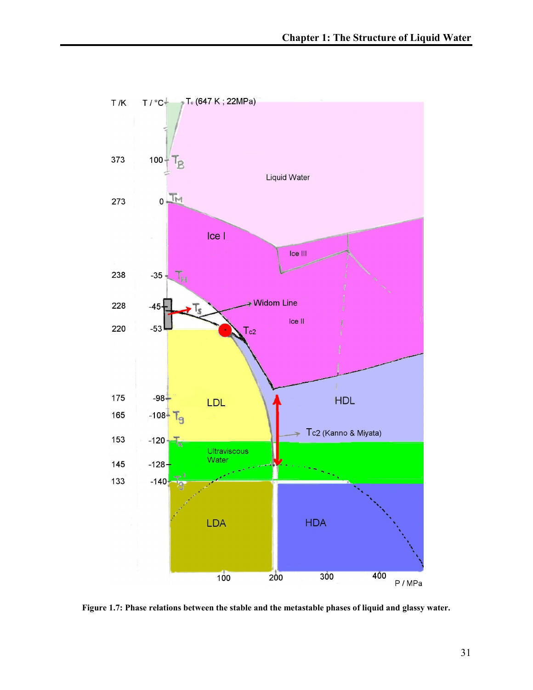

Figure 1.7: Phase relations between the stable and the metastable phases of liquid and glassy water.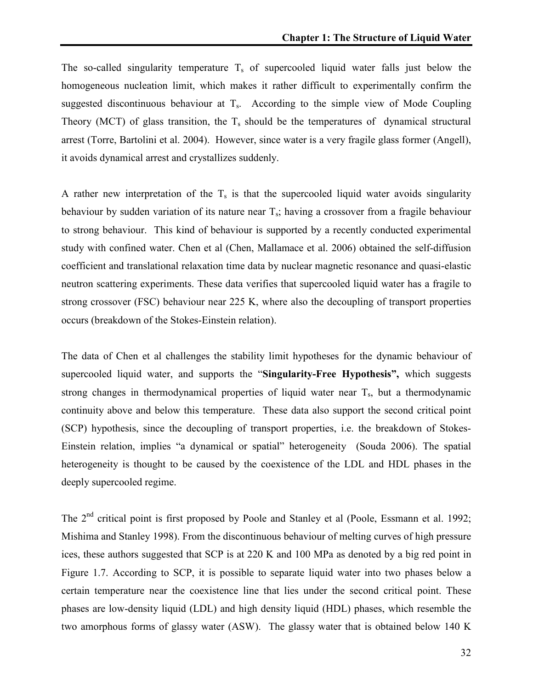The so-called singularity temperature  $T_s$  of supercooled liquid water falls just below the homogeneous nucleation limit, which makes it rather difficult to experimentally confirm the suggested discontinuous behaviour at  $T_s$ . According to the simple view of Mode Coupling Theory (MCT) of glass transition, the  $T_s$  should be the temperatures of dynamical structural arrest (Torre, Bartolini et al. 2004). However, since water is a very fragile glass former (Angell), it avoids dynamical arrest and crystallizes suddenly.

A rather new interpretation of the  $T_s$  is that the supercooled liquid water avoids singularity behaviour by sudden variation of its nature near  $T_s$ ; having a crossover from a fragile behaviour to strong behaviour. This kind of behaviour is supported by a recently conducted experimental study with confined water. Chen et al (Chen, Mallamace et al. 2006) obtained the self-diffusion coefficient and translational relaxation time data by nuclear magnetic resonance and quasi-elastic neutron scattering experiments. These data verifies that supercooled liquid water has a fragile to strong crossover (FSC) behaviour near 225 K, where also the decoupling of transport properties occurs (breakdown of the Stokes-Einstein relation).

The data of Chen et al challenges the stability limit hypotheses for the dynamic behaviour of supercooled liquid water, and supports the "Singularity-Free Hypothesis", which suggests strong changes in thermodynamical properties of liquid water near  $T_s$ , but a thermodynamic continuity above and below this temperature. These data also support the second critical point (SCP) hypothesis, since the decoupling of transport properties, i.e. the breakdown of Stokes-Einstein relation, implies "a dynamical or spatial" heterogeneity (Souda 2006). The spatial heterogeneity is thought to be caused by the coexistence of the LDL and HDL phases in the deeply supercooled regime.

The 2<sup>nd</sup> critical point is first proposed by Poole and Stanley et al (Poole, Essmann et al. 1992; Mishima and Stanley 1998). From the discontinuous behaviour of melting curves of high pressure ices, these authors suggested that SCP is at 220 K and 100 MPa as denoted by a big red point in Figure 1.7. According to SCP, it is possible to separate liquid water into two phases below a certain temperature near the coexistence line that lies under the second critical point. These phases are low-density liquid (LDL) and high density liquid (HDL) phases, which resemble the two amorphous forms of glassy water (ASW). The glassy water that is obtained below 140 K